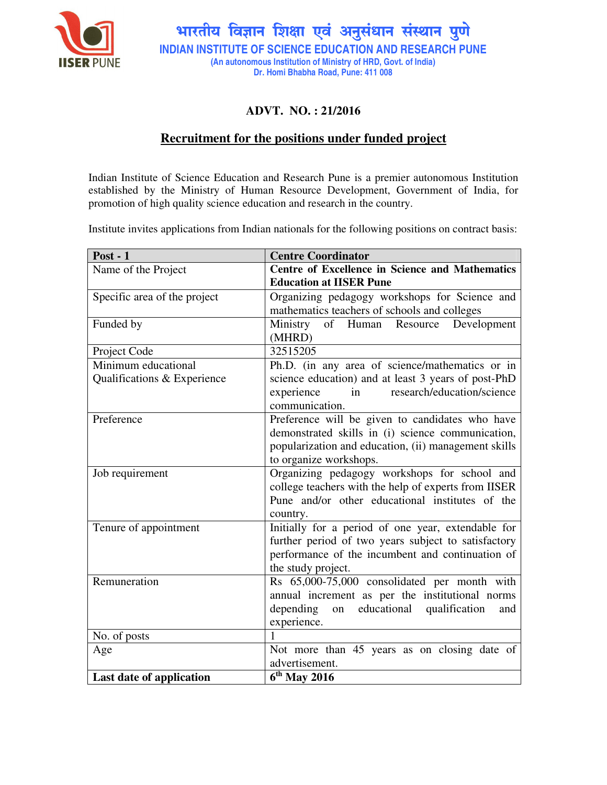

भारतीय विज्ञान शिक्षा एवं अनुसंधान संस्थान पुणे **INDIAN INSTITUTE OF SCIENCE EDUCATION AND RESEARCH PUNE (An autonomous Institution of Ministry of HRD, Govt. of India) Dr. Homi Bhabha Road, Pune: 411 008** 

# **ADVT. NO. : 21/2016**

# **Recruitment for the positions under funded project**

Indian Institute of Science Education and Research Pune is a premier autonomous Institution established by the Ministry of Human Resource Development, Government of India, for promotion of high quality science education and research in the country.

Institute invites applications from Indian nationals for the following positions on contract basis:

| Post - $1$                   | <b>Centre Coordinator</b>                            |
|------------------------------|------------------------------------------------------|
| Name of the Project          | Centre of Excellence in Science and Mathematics      |
|                              | <b>Education at IISER Pune</b>                       |
| Specific area of the project | Organizing pedagogy workshops for Science and        |
|                              | mathematics teachers of schools and colleges         |
| Funded by                    | Ministry<br>Development<br>of Human Resource         |
|                              | (MHRD)                                               |
| Project Code                 | 32515205                                             |
| Minimum educational          | Ph.D. (in any area of science/mathematics or in      |
| Qualifications & Experience  | science education) and at least 3 years of post-PhD  |
|                              | research/education/science<br>experience<br>in       |
|                              | communication.                                       |
| Preference                   | Preference will be given to candidates who have      |
|                              | demonstrated skills in (i) science communication,    |
|                              | popularization and education, (ii) management skills |
|                              | to organize workshops.                               |
| Job requirement              | Organizing pedagogy workshops for school and         |
|                              | college teachers with the help of experts from IISER |
|                              | Pune and/or other educational institutes of the      |
|                              | country.                                             |
| Tenure of appointment        | Initially for a period of one year, extendable for   |
|                              | further period of two years subject to satisfactory  |
|                              | performance of the incumbent and continuation of     |
|                              | the study project.                                   |
| Remuneration                 | Rs 65,000-75,000 consolidated per month with         |
|                              | annual increment as per the institutional norms      |
|                              | depending<br>on educational<br>qualification<br>and  |
|                              | experience.                                          |
| No. of posts                 | 1                                                    |
| Age                          | Not more than 45 years as on closing date of         |
|                              | advertisement.                                       |
| Last date of application     | $6th$ May 2016                                       |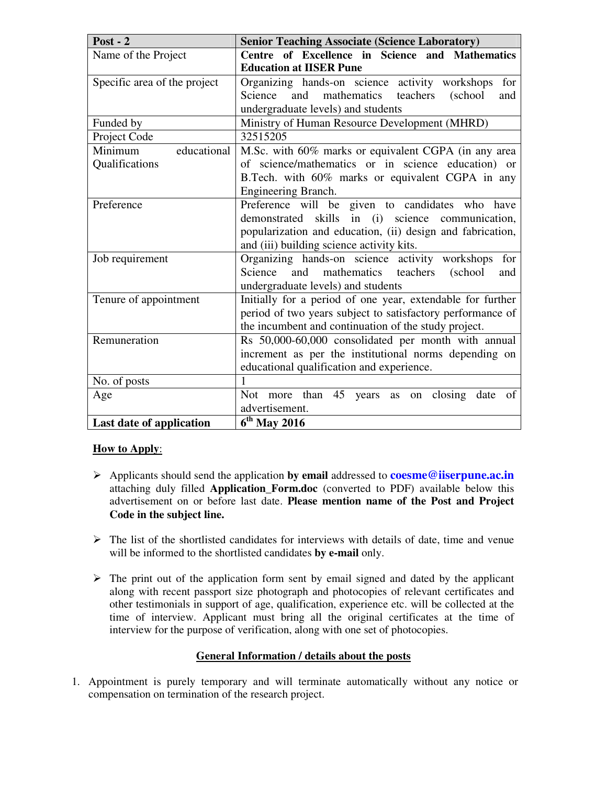| Post - $2$                   | <b>Senior Teaching Associate (Science Laboratory)</b>                 |
|------------------------------|-----------------------------------------------------------------------|
| Name of the Project          | Centre of Excellence in Science and Mathematics                       |
|                              | <b>Education at IISER Pune</b>                                        |
| Specific area of the project | Organizing hands-on science activity workshops<br>for                 |
|                              | mathematics teachers<br>Science<br>and<br>(school<br>and              |
|                              | undergraduate levels) and students                                    |
| Funded by                    | Ministry of Human Resource Development (MHRD)                         |
| Project Code                 | 32515205                                                              |
| Minimum<br>educational       | M.Sc. with 60% marks or equivalent CGPA (in any area                  |
| Qualifications               | of science/mathematics or in science education) or                    |
|                              | B.Tech. with 60% marks or equivalent CGPA in any                      |
|                              | Engineering Branch.                                                   |
| Preference                   | Preference will be given to candidates who have                       |
|                              | demonstrated skills in (i) science communication,                     |
|                              | popularization and education, (ii) design and fabrication,            |
|                              | and (iii) building science activity kits.                             |
| Job requirement              | Organizing hands-on science activity workshops<br>for                 |
|                              | Science<br>and<br>mathematics teachers<br>(school<br>and              |
|                              | undergraduate levels) and students                                    |
| Tenure of appointment        | Initially for a period of one year, extendable for further            |
|                              | period of two years subject to satisfactory performance of            |
|                              | the incumbent and continuation of the study project.                  |
| Remuneration                 | Rs 50,000-60,000 consolidated per month with annual                   |
|                              | increment as per the institutional norms depending on                 |
|                              | educational qualification and experience.                             |
| No. of posts                 | 1                                                                     |
| Age                          | more than<br>45<br>Not.<br>closing<br>date<br>of<br>years<br>as<br>on |
|                              | advertisement.                                                        |
| Last date of application     | $6^{\text{th}}$ May 2016                                              |

### **How to Apply**:

- Applicants should send the application **by email** addressed to **coesme@iiserpune.ac.in**  attaching duly filled **Application\_Form.doc** (converted to PDF) available below this advertisement on or before last date. **Please mention name of the Post and Project Code in the subject line.**
- $\triangleright$  The list of the shortlisted candidates for interviews with details of date, time and venue will be informed to the shortlisted candidates **by e-mail** only.
- $\triangleright$  The print out of the application form sent by email signed and dated by the applicant along with recent passport size photograph and photocopies of relevant certificates and other testimonials in support of age, qualification, experience etc. will be collected at the time of interview. Applicant must bring all the original certificates at the time of interview for the purpose of verification, along with one set of photocopies.

### **General Information / details about the posts**

1. Appointment is purely temporary and will terminate automatically without any notice or compensation on termination of the research project.